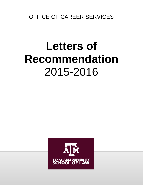OFFICE OF CAREER SERVICES

# **Letters of Recommendation** 2015-2016

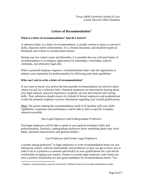# **Letters of Recommendation[1](#page-1-0)**

## **What is a letter of recommendation? And do I need it?**

A reference letter, or a letter of recommendation, is usually written to attest to a person's skills, character and/or achievements. It is a formal document, and should be typed on letterhead, and written in a professional manner.

During your law school career and thereafter, it is possible that you will need letters of recommendation to accompany applications for internships, externships, judicial clerkships, and ultimately legal jobs.

When a potential employer requests a recommendation letter, take the opportunity to enhance your reputation for professionalism by following some basic guidelines.

## **Who can I ask to write a letter of recommendation?**

If you want to ensure you receive the best possible recommendation, be selective about whom you ask for a reference letter. Potential employers are interested in hearing about your legal analysis, practical experience, academic success and research and writing skills. Your references should consist of a hybrid of former employers and academicians so that the potential employer receives information regarding your overall qualifications.

**Hint!** The person making the recommendation needs to be familiar with your skills, capabilities, experience and performance, and be able to refer to specific examples whenever possible.

# *Non-Legal Employers and Undergraduate Professors*

Non-legal employers will be able to speak to your general workplace skills and professionalism. Similarly, undergraduate professors know something about your work habits, personal characteristics and general intellect.

# *Law Professors and Former Legal Employers*

Consider asking professors<sup>[2](#page-1-1)</sup> or legal employers to write recommendation letters for you. During law school, cultivate relationships with professors so they can get to know you in order to be in a position to comment specifically on your qualifications for a job and be comfortable accepting your request. Former or current legal employers with whom you have a positive relationship are also good candidates for recommendation letters. You

<span id="page-1-1"></span><span id="page-1-0"></span> $<sup>1</sup>$  Adapted, with permission, from the University of Miami School of Law Recommendation Guide.</sup>  $\overline{a}$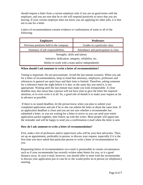should request a letter from a current employer only if you are on good terms with the employer, and you are sure that he or she will respond positively to news that you are leaving. If your current employer does not know you are applying for other jobs, it is fine not to ask for a letter.

Letters of recommendation contain evidence or confirmation of some or all of the following:

| <b>Employers</b>                                     | <b>Professors</b>                     |
|------------------------------------------------------|---------------------------------------|
| Previous positions held in the company               | Grades in a particular class          |
| Summary of job responsibilities                      | Attendance and participation in class |
| Strengths, skills and talents                        |                                       |
| Initiative, dedication, integrity, reliability, etc. |                                       |
| Ability to work with a team and/or independently     |                                       |

#### **When should I ask someone to write a letter of recommendation?**

Timing is important. Do not procrastinate. Avoid the last minute scenario. When you ask for a letter of recommendation, keep in mind that attorneys, employers, professors and references in general are quite busy and their time is limited. Therefore, asking someone for a reference letter the night before it is due, or the same day you need it, is not appropriate. Waiting until the last minute may make you look irresponsible. A close deadline may also mean that a person will not have time to give the letter the required attention, or to even write it at all. So, a good rule of thumb is to make your request as far in advance as possible.

If there is no stated deadline, let the person know when you plan to submit your completed application and ask if he or she can submit the letter at about the same time. If an application deadline is close and you are not sure whether a recommender has submitted a letter, or you are waiting for a letter to arrive so you can send your entire application packet together, then follow up with the writer. Most people will appreciate the reminder and will be happy to send you a confirmation e-mail when the letter is sent.

#### **How do I ask someone to write a letter of recommendation?**

First, make a list of professors and/or supervisors who will be your best advocates. Then, set up an appointment, preferably in person, to discuss your request, especially if it is the first time you have asked that particular person to write a letter of recommendation for you.

Requesting letters of recommendation via e-mail is permissible in certain circumstances such as if your recommender has recently written other letters for you, or is a good distance away. In your e-mail, however, you should offer to meet with the recommender to discuss your application just in case he or she would prefer an in person (or telephonic) meeting.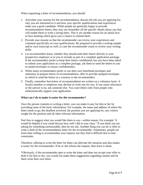When requesting a letter of recommendation, you should:

- 1. Articulate your reasons for the recommendation, discuss the job you are applying for, why you are interested in it and how your specific qualifications and experiences make you a good candidate. While people are generally happy to provide recommendation letters, they may not remember all the specific details about you that will enable them to write a strong letter. This is yet another reason for an initial faceto-face meeting which gives you a chance to remind them.
- 2. Provide your resume so that the recommender can review your experiences and comment specifically on your qualifications. Be prepared to provide a writing sample and/or your transcript as well, in case the recommender wants to review your writing skills.
- 3. Let recommenders know whether they should send their letters directly to your prospective employer or to you to include as part of a complete application package. If the recommenders prefer to keep their letters confidential, but you have been asked to submit your application as a complete package, ask them to send the letters to you in sealed envelopes to ensure confidentiality.
- 4. While many recommenders prefer to use their own letterhead envelopes and stationery to prepare letters of recommendation, offer to provide stamped envelopes in which to send the letters as a courtesy to the recommenders.
- 5. Finally, remember that letters of recommendation are written on a voluntary basis. A faculty member or employer may decline to write one for you. If you sense reluctance or the answer is no, ask someone else. You want letters only from people who enthusiastically support your application.

#### **What can I do to make it easier for the recommender?**

Once the person commits to writing a letter, you can make it easy for him or her by providing some of the basic information. For example, the name and address of where the letter needs to go, the deadline involved, the position you are applying for, any criteria sought for the position and all other relevant information.

Feel free to suggest what you would like them to say—within reason. For example "it would be helpful if you could discuss how well I did in your class." If you think you are asking for something unreasonable, then do not ask. Another thing you can do is offer to write a draft of the recommendation letter for the recommender. Sometimes, people are more than willing to accommodate your request, but they find it difficult due to time constraints.

Therefore, offering to write the letter for them can alleviate the situation and also makes it easier for the recommender. If he or she refuses the request, then leave it alone.

\*Obviously, if the recommender opts to write the letter and does not accept your offer to draft it for him or her, you would not make these suggestions regarding content and let them write their own letter.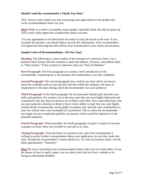#### **Should I send the recommender a Thank You Note?**

YES. Always send a thank you note expressing your appreciation to the people who wrote recommendation letters for you.

**Hint!** While an e-mail is acceptable, many people, especially those who did not grow up with e-mail, really appreciate a handwritten thank you note.

It is also appropriate to let them know the status of your job search in the note. If you accepted the position, you should follow up with this information. Your recommenders will appreciate knowing that their efforts were instrumental in your career advancement.

#### **Sample Letter of Recommendation—Do Not Copy!**

**Heading:** The following is a basic outline of the structure of a reference letter: Use a business letter format with the recipient's name and address, if known, and address them as "Dear [name]." If the recipient is unknown, then use "Dear Sir/Madam."

**First Paragraph:** The first paragraph can contain a brief introduction of the recommender, explaining his or her position and relationship to you (the candidate).

**Second Paragraph:** The second paragraph may confirm any facts which are known about the candidate such as your job title and role within the company, the dates of employment or the dates during which the recommender was your professor.

**Third Paragraph:** In the third paragraph, the recommender should aptly describe your skills and qualities. For instance, he or she may state that you were highly dedicated and committed to the job; that you possess an excellent work ethic, drive and enthusiasm; that you pay particular attention to detail or have a keen ability to lead; that you were highly valued and the recommender would gladly re-employ you; and that your contributions to your law school class were invaluable (if a professor). This is where the recommender can single out any exceptional qualities you possess which would be impressive to the potential employer.

**Fourth Paragraph:** Where possible, the fourth paragraph can give a couple of concrete examples of times when you excelled in your job or in class.

**Closing Paragraph:** Close the letter on a positive note, and if the recommender is willing to receive further correspondence about your application, be sure they make this clear. Include the recommender's contact details too. As with any business letter, end the letter appropriately; "Sincerely."

**Hint!** Be sure to proofread your recommendation letters after you've written them. If you are unsure of how to spell a name, you can often check the law firm's website or its listing on Martindale Hubbell.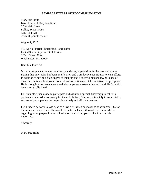#### **SAMPLE LETTERS OF RECOMMENDATION**

Mary Sue Smith Law Offices of Mary Sue Smith 1234 Main Street Dallas, Texas 75090 (789) 654-321 mssmith@smithlaw.net

August 1, 2015

Ms. Alicia Florrick, Recruiting Coordinator United States Department of Justice 1234 J Street, N.W. Washington, DC 20000

Dear Ms. Florrick:

Mr. Alan Applicant has worked directly under my supervision for the past six months. During that time, Alan has been a self-starter and a productive contributor to team efforts. In addition to having a high degree of integrity and a cheerful personality, he is one of those rare individuals who can both follow instructions and take initiative, as appropriate. He is strong in time management and his competence extends beyond the skills for which he was originally hired.

For example, when asked to participate and assist in a special discovery project for a particular client, Alan was ready for the task. In fact, Alan was ultimately instrumental in successfully completing the project in a timely and efficient manner.

I will indeed be sorry to lose Alan as a law clerk when he moves to Washington, DC for the summer. Seldom have I been able to make such an enthusiastic recommendation regarding an employee. I have no hesitation in advising you to hire Alan for this internship.

Sincerely,

Mary Sue Smith